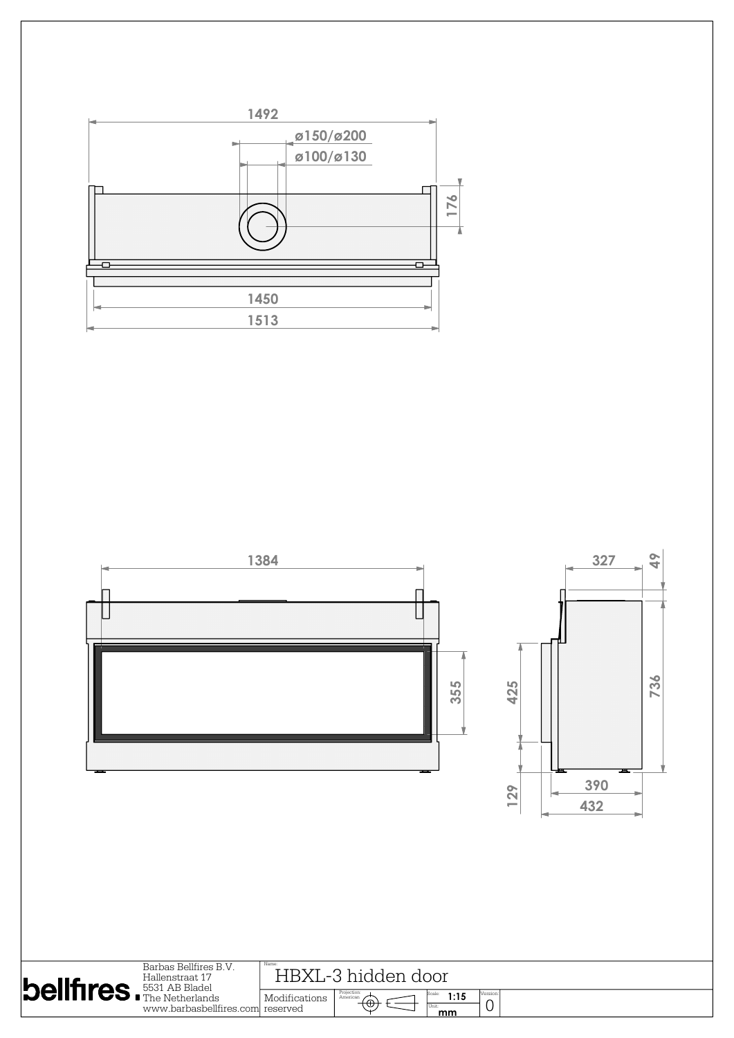

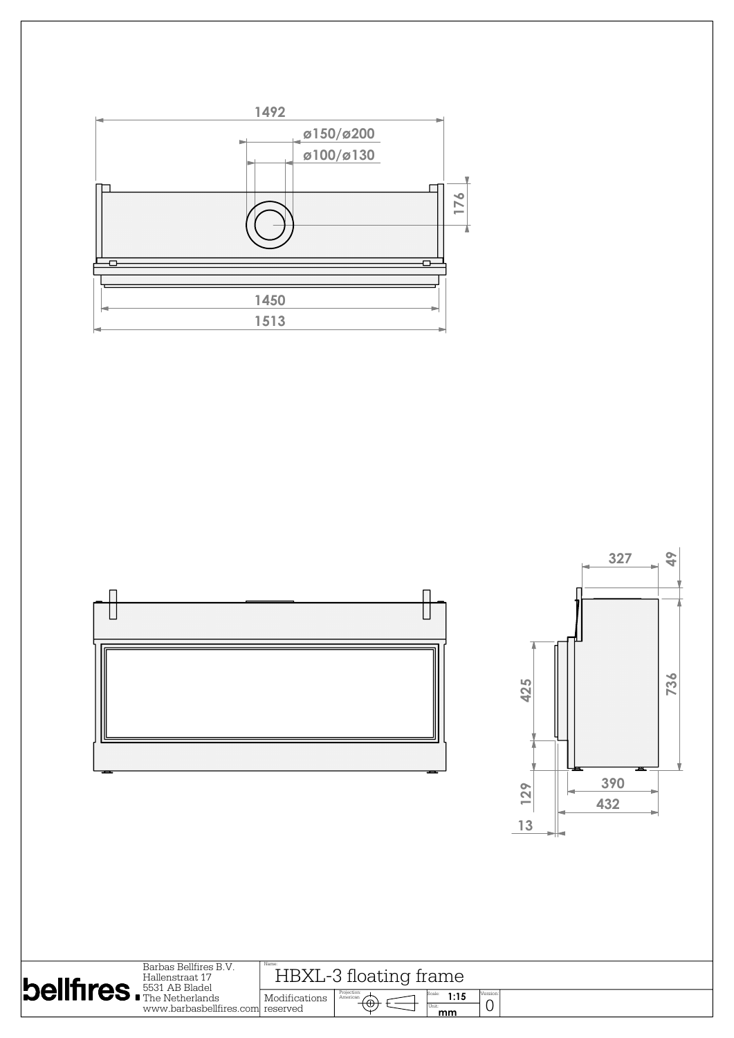

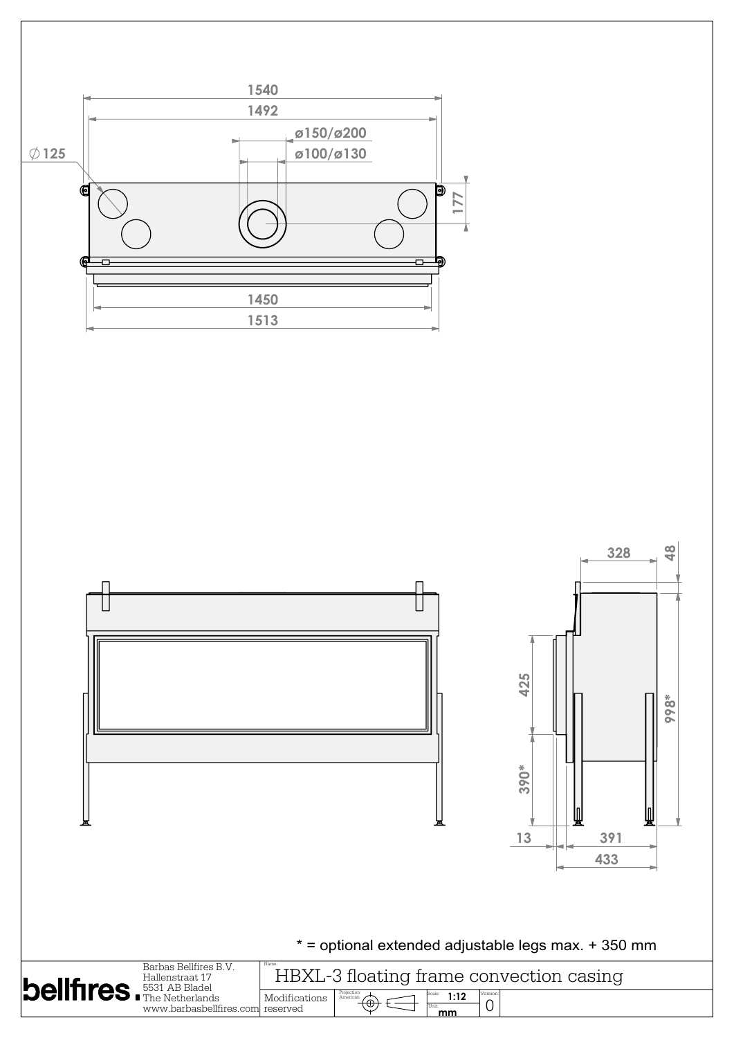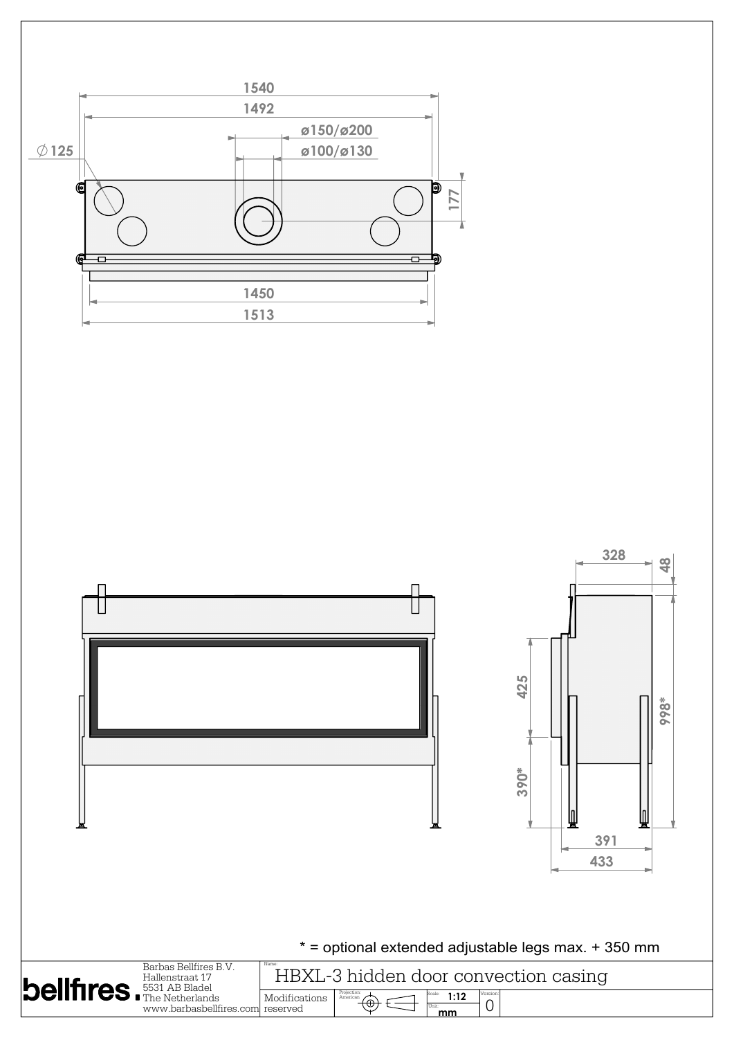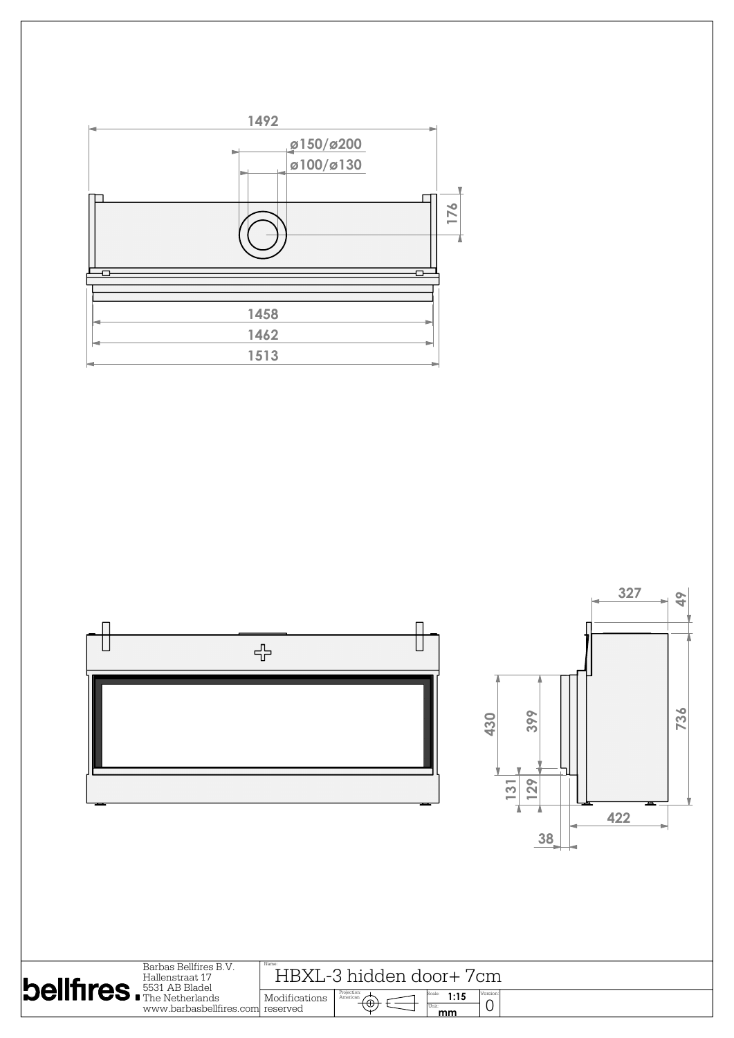